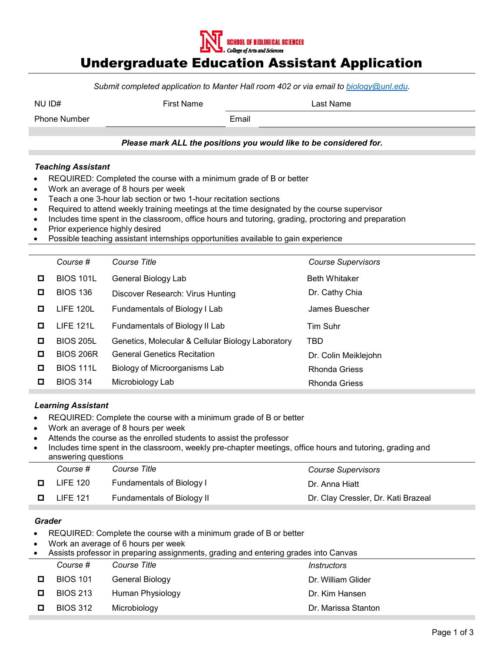

## Undergraduate Education Assistant Application

*Submit completed application to Manter Hall room 402 or via email to [biology@unl.edu.](mailto:biology@unl.edu)*

| NU ID# | <b>First Name</b> | ∟ast Name |
|--------|-------------------|-----------|
|        |                   |           |

Phone Number **Email** 

### *Please mark ALL the positions you would like to be considered for.*

#### *Teaching Assistant*

- REQUIRED: Completed the course with a minimum grade of B or better
- Work an average of 8 hours per week
- Teach a one 3-hour lab section or two 1-hour recitation sections
- Required to attend weekly training meetings at the time designated by the course supervisor
- Includes time spent in the classroom, office hours and tutoring, grading, proctoring and preparation
- Prior experience highly desired
- Possible teaching assistant internships opportunities available to gain experience

|   | Course #         | Course Title                                      | <b>Course Supervisors</b> |
|---|------------------|---------------------------------------------------|---------------------------|
| □ | <b>BIOS 101L</b> | General Biology Lab                               | <b>Beth Whitaker</b>      |
| o | <b>BIOS 136</b>  | Discover Research: Virus Hunting                  | Dr. Cathy Chia            |
| O | <b>LIFE 120L</b> | Fundamentals of Biology I Lab                     | James Buescher            |
| O | <b>LIFE 121L</b> | Fundamentals of Biology II Lab                    | Tim Suhr                  |
| O | <b>BIOS 205L</b> | Genetics, Molecular & Cellular Biology Laboratory | TBD                       |
| O | <b>BIOS 206R</b> | <b>General Genetics Recitation</b>                | Dr. Colin Meiklejohn      |
| □ | <b>BIOS 111L</b> | Biology of Microorganisms Lab                     | <b>Rhonda Griess</b>      |
| О | <b>BIOS 314</b>  | Microbiology Lab                                  | <b>Rhonda Griess</b>      |

### *Learning Assistant*

- REQUIRED: Complete the course with a minimum grade of B or better
- Work an average of 8 hours per week
- Attends the course as the enrolled students to assist the professor
- Includes time spent in the classroom, weekly pre-chapter meetings, office hours and tutoring, grading and answering questions

|   | Course #        | Course Title                      | <b>Course Supervisors</b>           |
|---|-----------------|-----------------------------------|-------------------------------------|
| O | LIFE 120        | Fundamentals of Biology I         | Dr. Anna Hiatt                      |
|   | <b>LIFE 121</b> | <b>Fundamentals of Biology II</b> | Dr. Clay Cressler, Dr. Kati Brazeal |

#### *Grader*

- REQUIRED: Complete the course with a minimum grade of B or better
- Work an average of 6 hours per week

| $\bullet$ | Assists professor in preparing assignments, grading and entering grades into Canvas |                  |                                  |  |
|-----------|-------------------------------------------------------------------------------------|------------------|----------------------------------|--|
|           | Course #                                                                            | Course Title     | <i><u><b>Instructors</b></u></i> |  |
| 0         | <b>BIOS 101</b>                                                                     | General Biology  | Dr. William Glider               |  |
| 0         | <b>BIOS 213</b>                                                                     | Human Physiology | Dr. Kim Hansen                   |  |
|           | <b>BIOS 312</b>                                                                     | Microbiology     | Dr. Marissa Stanton              |  |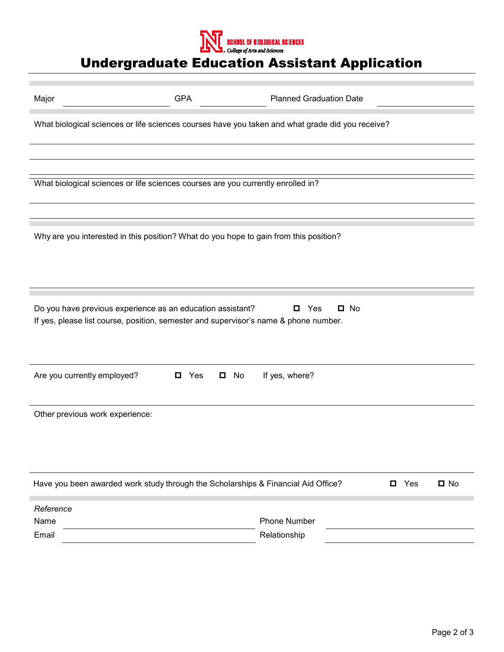

# Undergraduate Education Assistant Application

| Major                                                                                                                                                                          | <b>GPA</b> | <b>Planned Graduation Date</b> |            |           |
|--------------------------------------------------------------------------------------------------------------------------------------------------------------------------------|------------|--------------------------------|------------|-----------|
| What biological sciences or life sciences courses have you taken and what grade did you receive?                                                                               |            |                                |            |           |
|                                                                                                                                                                                |            |                                |            |           |
|                                                                                                                                                                                |            |                                |            |           |
| What biological sciences or life sciences courses are you currently enrolled in?                                                                                               |            |                                |            |           |
|                                                                                                                                                                                |            |                                |            |           |
| Why are you interested in this position? What do you hope to gain from this position?                                                                                          |            |                                |            |           |
| Do you have previous experience as an education assistant?<br>$\square$ No<br>Yes<br>0<br>If yes, please list course, position, semester and supervisor's name & phone number. |            |                                |            |           |
| Are you currently employed?<br>If yes, where?<br>$\blacksquare$ Yes<br>No                                                                                                      |            |                                |            |           |
| Other previous work experience:                                                                                                                                                |            |                                |            |           |
| Have you been awarded work study through the Scholarships & Financial Aid Office?                                                                                              |            |                                | $\Box$ Yes | $\Box$ No |
| Reference                                                                                                                                                                      |            |                                |            |           |
| Name                                                                                                                                                                           |            | Phone Number                   |            |           |
| Email                                                                                                                                                                          |            | Relationship                   |            |           |